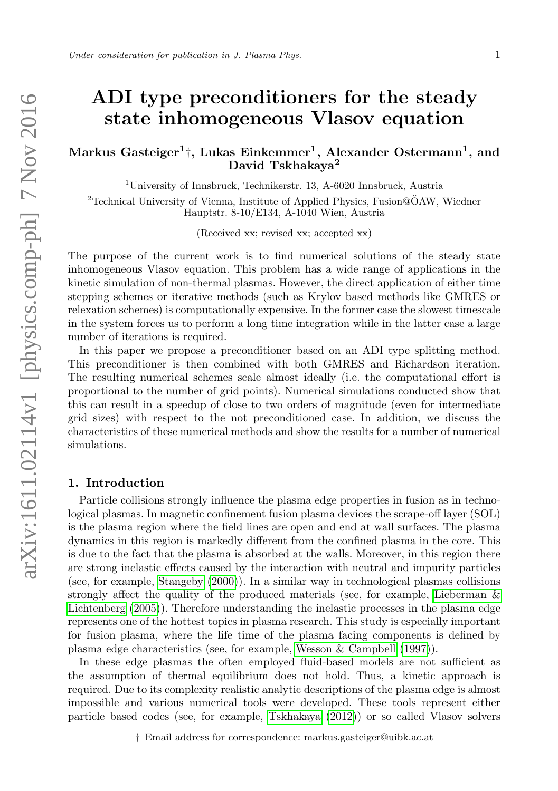# ADI type preconditioners for the steady state inhomogeneous Vlasov equation

## Markus Gasteiger $^1{}_{\parallel}$ , Lukas Einkemmer $^1,$  Alexander Ostermann $^1,$  and David Tskhakaya<sup>2</sup>

<sup>1</sup>University of Innsbruck, Technikerstr. 13, A-6020 Innsbruck, Austria

<sup>2</sup>Technical University of Vienna, Institute of Applied Physics, Fusion@OAW, Wiedner Hauptstr. 8-10/E134, A-1040 Wien, Austria

(Received xx; revised xx; accepted xx)

The purpose of the current work is to find numerical solutions of the steady state inhomogeneous Vlasov equation. This problem has a wide range of applications in the kinetic simulation of non-thermal plasmas. However, the direct application of either time stepping schemes or iterative methods (such as Krylov based methods like GMRES or relexation schemes) is computationally expensive. In the former case the slowest timescale in the system forces us to perform a long time integration while in the latter case a large number of iterations is required.

In this paper we propose a preconditioner based on an ADI type splitting method. This preconditioner is then combined with both GMRES and Richardson iteration. The resulting numerical schemes scale almost ideally (i.e. the computational effort is proportional to the number of grid points). Numerical simulations conducted show that this can result in a speedup of close to two orders of magnitude (even for intermediate grid sizes) with respect to the not preconditioned case. In addition, we discuss the characteristics of these numerical methods and show the results for a number of numerical simulations.

## 1. Introduction

Particle collisions strongly influence the plasma edge properties in fusion as in technological plasmas. In magnetic confinement fusion plasma devices the scrape-off layer (SOL) is the plasma region where the field lines are open and end at wall surfaces. The plasma dynamics in this region is markedly different from the confined plasma in the core. This is due to the fact that the plasma is absorbed at the walls. Moreover, in this region there are strong inelastic effects caused by the interaction with neutral and impurity particles (see, for example, [Stangeby](#page-10-0) [\(2000\)](#page-10-0)). In a similar way in technological plasmas collisions strongly affect the quality of the produced materials (see, for example, [Lieberman &](#page-9-0) [Lichtenberg](#page-9-0) [\(2005\)](#page-9-0)). Therefore understanding the inelastic processes in the plasma edge represents one of the hottest topics in plasma research. This study is especially important for fusion plasma, where the life time of the plasma facing components is defined by plasma edge characteristics (see, for example, [Wesson & Campbell](#page-10-1) [\(1997\)](#page-10-1)).

In these edge plasmas the often employed fluid-based models are not sufficient as the assumption of thermal equilibrium does not hold. Thus, a kinetic approach is required. Due to its complexity realistic analytic descriptions of the plasma edge is almost impossible and various numerical tools were developed. These tools represent either particle based codes (see, for example, [Tskhakaya](#page-10-2) [\(2012\)](#page-10-2)) or so called Vlasov solvers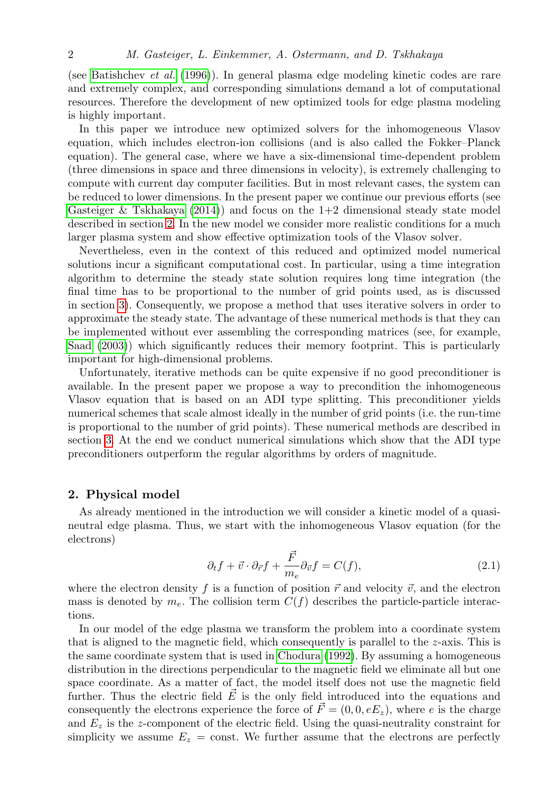(see [Batishchev](#page-9-1) et al. [\(1996\)](#page-9-1)). In general plasma edge modeling kinetic codes are rare and extremely complex, and corresponding simulations demand a lot of computational resources. Therefore the development of new optimized tools for edge plasma modeling is highly important.

In this paper we introduce new optimized solvers for the inhomogeneous Vlasov equation, which includes electron-ion collisions (and is also called the Fokker–Planck equation). The general case, where we have a six-dimensional time-dependent problem (three dimensions in space and three dimensions in velocity), is extremely challenging to compute with current day computer facilities. But in most relevant cases, the system can be reduced to lower dimensions. In the present paper we continue our previous efforts (see [Gasteiger & Tskhakaya](#page-9-2)  $(2014)$  and focus on the 1+2 dimensional steady state model described in section [2.](#page-1-0) In the new model we consider more realistic conditions for a much larger plasma system and show effective optimization tools of the Vlasov solver.

Nevertheless, even in the context of this reduced and optimized model numerical solutions incur a significant computational cost. In particular, using a time integration algorithm to determine the steady state solution requires long time integration (the final time has to be proportional to the number of grid points used, as is discussed in section [3\)](#page-3-0). Consequently, we propose a method that uses iterative solvers in order to approximate the steady state. The advantage of these numerical methods is that they can be implemented without ever assembling the corresponding matrices (see, for example, [Saad](#page-10-3) [\(2003\)](#page-10-3)) which significantly reduces their memory footprint. This is particularly important for high-dimensional problems.

Unfortunately, iterative methods can be quite expensive if no good preconditioner is available. In the present paper we propose a way to precondition the inhomogeneous Vlasov equation that is based on an ADI type splitting. This preconditioner yields numerical schemes that scale almost ideally in the number of grid points (i.e. the run-time is proportional to the number of grid points). These numerical methods are described in section [3.](#page-3-0) At the end we conduct numerical simulations which show that the ADI type preconditioners outperform the regular algorithms by orders of magnitude.

#### <span id="page-1-0"></span>2. Physical model

As already mentioned in the introduction we will consider a kinetic model of a quasineutral edge plasma. Thus, we start with the inhomogeneous Vlasov equation (for the electrons)

$$
\partial_t f + \vec{v} \cdot \partial_{\vec{r}} f + \frac{\vec{F}}{m_e} \partial_{\vec{v}} f = C(f), \qquad (2.1)
$$

where the electron density f is a function of position  $\vec{r}$  and velocity  $\vec{v}$ , and the electron mass is denoted by  $m_e$ . The collision term  $C(f)$  describes the particle-particle interactions.

In our model of the edge plasma we transform the problem into a coordinate system that is aligned to the magnetic field, which consequently is parallel to the z-axis. This is the same coordinate system that is used in [Chodura](#page-9-3) [\(1992\)](#page-9-3). By assuming a homogeneous distribution in the directions perpendicular to the magnetic field we eliminate all but one space coordinate. As a matter of fact, the model itself does not use the magnetic field further. Thus the electric field  $\vec{E}$  is the only field introduced into the equations and consequently the electrons experience the force of  $\vec{F} = (0, 0, eE_z)$ , where e is the charge and  $E_z$  is the z-component of the electric field. Using the quasi-neutrality constraint for simplicity we assume  $E_z = \text{const.}$  We further assume that the electrons are perfectly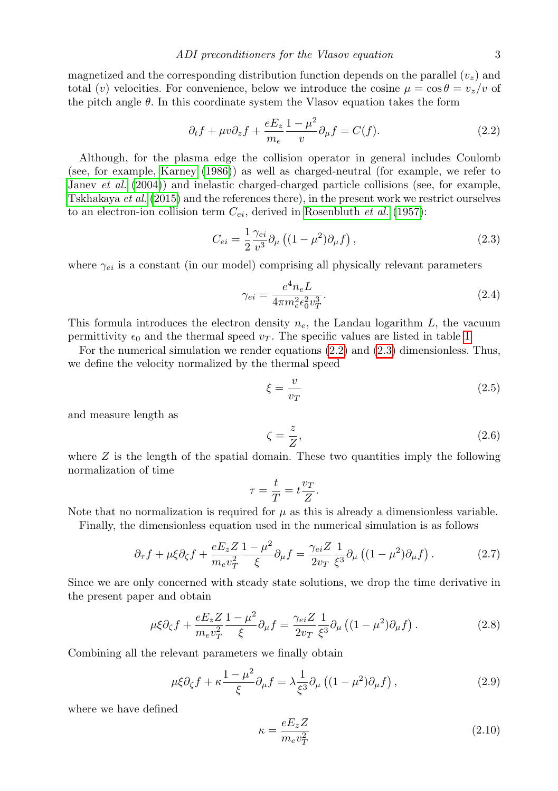magnetized and the corresponding distribution function depends on the parallel  $(v<sub>z</sub>)$  and total (v) velocities. For convenience, below we introduce the cosine  $\mu = \cos \theta = v_z/v$  of the pitch angle  $\theta$ . In this coordinate system the Vlasov equation takes the form

<span id="page-2-0"></span>
$$
\partial_t f + \mu v \partial_z f + \frac{eE_z}{m_e} \frac{1 - \mu^2}{v} \partial_\mu f = C(f). \tag{2.2}
$$

Although, for the plasma edge the collision operator in general includes Coulomb (see, for example, [Karney](#page-9-4) [\(1986\)](#page-9-4)) as well as charged-neutral (for example, we refer to [Janev](#page-9-5) *et al.* [\(2004\)](#page-9-5)) and inelastic charged-charged particle collisions (see, for example, [Tskhakaya](#page-10-4) et al. [\(2015\)](#page-10-4) and the references there), in the present work we restrict ourselves to an electron-ion collision term  $C_{ei}$ , derived in [Rosenbluth](#page-10-5) *et al.* [\(1957\)](#page-10-5):

<span id="page-2-1"></span>
$$
C_{ei} = \frac{1}{2} \frac{\gamma_{ei}}{v^3} \partial_\mu \left( (1 - \mu^2) \partial_\mu f \right), \tag{2.3}
$$

where  $\gamma_{ei}$  is a constant (in our model) comprising all physically relevant parameters

$$
\gamma_{ei} = \frac{e^4 n_e L}{4\pi m_e^2 \epsilon_0^2 v_T^3}.
$$
\n(2.4)

This formula introduces the electron density  $n_e$ , the Landau logarithm  $L$ , the vacuum permittivity  $\epsilon_0$  and the thermal speed  $v_T$ . The specific values are listed in table [1.](#page-3-1)

For the numerical simulation we render equations [\(2.2\)](#page-2-0) and [\(2.3\)](#page-2-1) dimensionless. Thus, we define the velocity normalized by the thermal speed

$$
\xi = \frac{v}{v_T} \tag{2.5}
$$

and measure length as

$$
\zeta = \frac{z}{Z},\tag{2.6}
$$

where  $Z$  is the length of the spatial domain. These two quantities imply the following normalization of time

$$
\tau = \frac{t}{T} = t\frac{v_T}{Z}.
$$

Note that no normalization is required for  $\mu$  as this is already a dimensionless variable.

Finally, the dimensionless equation used in the numerical simulation is as follows

$$
\partial_{\tau} f + \mu \xi \partial_{\zeta} f + \frac{eE_z Z}{m_e v_T^2} \frac{1 - \mu^2}{\xi} \partial_{\mu} f = \frac{\gamma_{ei} Z}{2v_T} \frac{1}{\xi^3} \partial_{\mu} \left( (1 - \mu^2) \partial_{\mu} f \right).
$$
 (2.7)

Since we are only concerned with steady state solutions, we drop the time derivative in the present paper and obtain

$$
\mu\xi\partial_{\zeta}f + \frac{eE_z Z}{m_e v_T^2} \frac{1-\mu^2}{\xi} \partial_{\mu}f = \frac{\gamma_{ei}Z}{2v_T} \frac{1}{\xi^3} \partial_{\mu} \left( (1-\mu^2)\partial_{\mu}f \right). \tag{2.8}
$$

Combining all the relevant parameters we finally obtain

<span id="page-2-2"></span>
$$
\mu\xi\partial_{\zeta}f + \kappa \frac{1-\mu^2}{\xi}\partial_{\mu}f = \lambda \frac{1}{\xi^3}\partial_{\mu}\left((1-\mu^2)\partial_{\mu}f\right),\tag{2.9}
$$

where we have defined

$$
\kappa = \frac{eE_z Z}{m_e v_T^2} \tag{2.10}
$$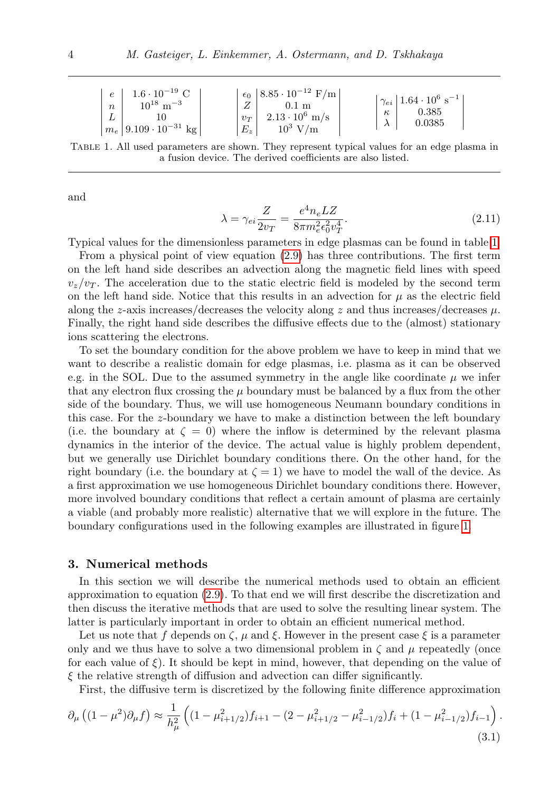|  | $\vert e \vert 1.6 \cdot 10^{-19} \text{ C}$<br>$10^{18}$ m <sup>-3</sup> |       | $\frac{1}{\epsilon_0}$   8.85 $\cdot$ 10 <sup>-12</sup> F/m  <br>$0.1 \text{ m}$<br>$ v_T $ 2.13 · 10 <sup>6</sup> m/s | $\vert \gamma_{ei} \vert 1.64 \cdot 10^6 \text{ s}^{-1} \vert$<br>0.385 |
|--|---------------------------------------------------------------------------|-------|------------------------------------------------------------------------------------------------------------------------|-------------------------------------------------------------------------|
|  | $\left  m_e \right  9.109 \cdot 10^{-31} \text{ kg}$                      | $E_z$ | $10^3$ V/m                                                                                                             | 0.0385                                                                  |

<span id="page-3-1"></span>Table 1. All used parameters are shown. They represent typical values for an edge plasma in a fusion device. The derived coefficients are also listed.

and

$$
\lambda = \gamma_{ei} \frac{Z}{2v_T} = \frac{e^4 n_e LZ}{8\pi m_e^2 \epsilon_0^2 v_T^4}.
$$
\n(2.11)

Typical values for the dimensionless parameters in edge plasmas can be found in table [1.](#page-3-1)

From a physical point of view equation [\(2.9\)](#page-2-2) has three contributions. The first term on the left hand side describes an advection along the magnetic field lines with speed  $v_z/v_T$ . The acceleration due to the static electric field is modeled by the second term on the left hand side. Notice that this results in an advection for  $\mu$  as the electric field along the z-axis increases/decreases the velocity along z and thus increases/decreases  $\mu$ . Finally, the right hand side describes the diffusive effects due to the (almost) stationary ions scattering the electrons.

To set the boundary condition for the above problem we have to keep in mind that we want to describe a realistic domain for edge plasmas, i.e. plasma as it can be observed e.g. in the SOL. Due to the assumed symmetry in the angle like coordinate  $\mu$  we infer that any electron flux crossing the  $\mu$  boundary must be balanced by a flux from the other side of the boundary. Thus, we will use homogeneous Neumann boundary conditions in this case. For the z-boundary we have to make a distinction between the left boundary (i.e. the boundary at  $\zeta = 0$ ) where the inflow is determined by the relevant plasma dynamics in the interior of the device. The actual value is highly problem dependent, but we generally use Dirichlet boundary conditions there. On the other hand, for the right boundary (i.e. the boundary at  $\zeta = 1$ ) we have to model the wall of the device. As a first approximation we use homogeneous Dirichlet boundary conditions there. However, more involved boundary conditions that reflect a certain amount of plasma are certainly a viable (and probably more realistic) alternative that we will explore in the future. The boundary configurations used in the following examples are illustrated in figure [1.](#page-4-0)

#### <span id="page-3-0"></span>3. Numerical methods

In this section we will describe the numerical methods used to obtain an efficient approximation to equation [\(2.9\)](#page-2-2). To that end we will first describe the discretization and then discuss the iterative methods that are used to solve the resulting linear system. The latter is particularly important in order to obtain an efficient numerical method.

Let us note that f depends on  $\zeta$ ,  $\mu$  and  $\xi$ . However in the present case  $\xi$  is a parameter only and we thus have to solve a two dimensional problem in  $\zeta$  and  $\mu$  repeatedly (once for each value of  $\xi$ ). It should be kept in mind, however, that depending on the value of  $\xi$  the relative strength of diffusion and advection can differ significantly.

First, the diffusive term is discretized by the following finite difference approximation

$$
\partial_{\mu} \left( (1 - \mu^2) \partial_{\mu} f \right) \approx \frac{1}{h_{\mu}^2} \left( (1 - \mu_{i+1/2}^2) f_{i+1} - (2 - \mu_{i+1/2}^2 - \mu_{i-1/2}^2) f_i + (1 - \mu_{i-1/2}^2) f_{i-1} \right). \tag{3.1}
$$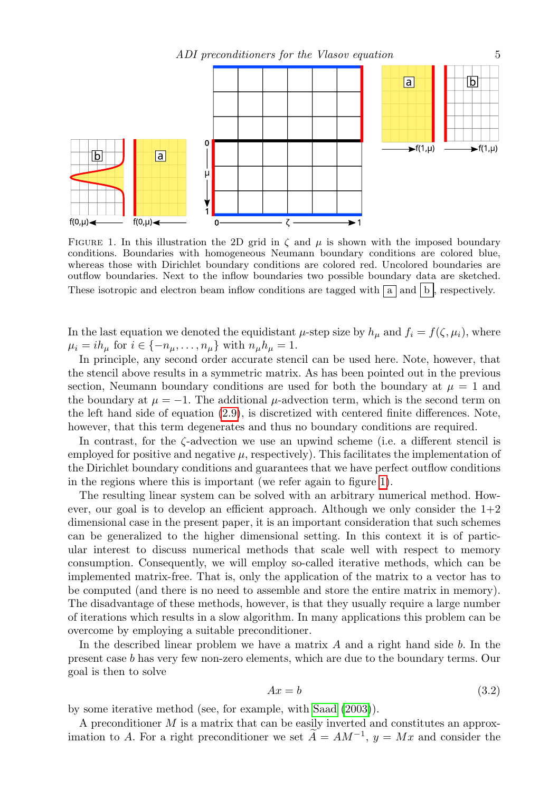

<span id="page-4-0"></span>FIGURE 1. In this illustration the 2D grid in  $\zeta$  and  $\mu$  is shown with the imposed boundary conditions. Boundaries with homogeneous Neumann boundary conditions are colored blue, whereas those with Dirichlet boundary conditions are colored red. Uncolored boundaries are outflow boundaries. Next to the inflow boundaries two possible boundary data are sketched. These isotropic and electron beam inflow conditions are tagged with  $\boxed{a}$  and  $\boxed{b}$ , respectively.

In the last equation we denoted the equidistant  $\mu$ -step size by  $h_{\mu}$  and  $f_i = f(\zeta, \mu_i)$ , where  $\mu_i = ih_\mu$  for  $i \in \{-n_\mu, \ldots, n_\mu\}$  with  $n_\mu h_\mu = 1$ .

In principle, any second order accurate stencil can be used here. Note, however, that the stencil above results in a symmetric matrix. As has been pointed out in the previous section, Neumann boundary conditions are used for both the boundary at  $\mu = 1$  and the boundary at  $\mu = -1$ . The additional  $\mu$ -advection term, which is the second term on the left hand side of equation [\(2.9\)](#page-2-2), is discretized with centered finite differences. Note, however, that this term degenerates and thus no boundary conditions are required.

In contrast, for the  $\zeta$ -advection we use an upwind scheme (i.e. a different stencil is employed for positive and negative  $\mu$ , respectively). This facilitates the implementation of the Dirichlet boundary conditions and guarantees that we have perfect outflow conditions in the regions where this is important (we refer again to figure [1\)](#page-4-0).

The resulting linear system can be solved with an arbitrary numerical method. However, our goal is to develop an efficient approach. Although we only consider the  $1+2$ dimensional case in the present paper, it is an important consideration that such schemes can be generalized to the higher dimensional setting. In this context it is of particular interest to discuss numerical methods that scale well with respect to memory consumption. Consequently, we will employ so-called iterative methods, which can be implemented matrix-free. That is, only the application of the matrix to a vector has to be computed (and there is no need to assemble and store the entire matrix in memory). The disadvantage of these methods, however, is that they usually require a large number of iterations which results in a slow algorithm. In many applications this problem can be overcome by employing a suitable preconditioner.

In the described linear problem we have a matrix  $A$  and a right hand side  $b$ . In the present case b has very few non-zero elements, which are due to the boundary terms. Our goal is then to solve

$$
Ax = b \tag{3.2}
$$

by some iterative method (see, for example, with [Saad](#page-10-3) [\(2003\)](#page-10-3)).

A preconditioner  $M$  is a matrix that can be easily inverted and constitutes an approximation to A. For a right preconditioner we set  $\tilde{A} = AM^{-1}$ ,  $y = Mx$  and consider the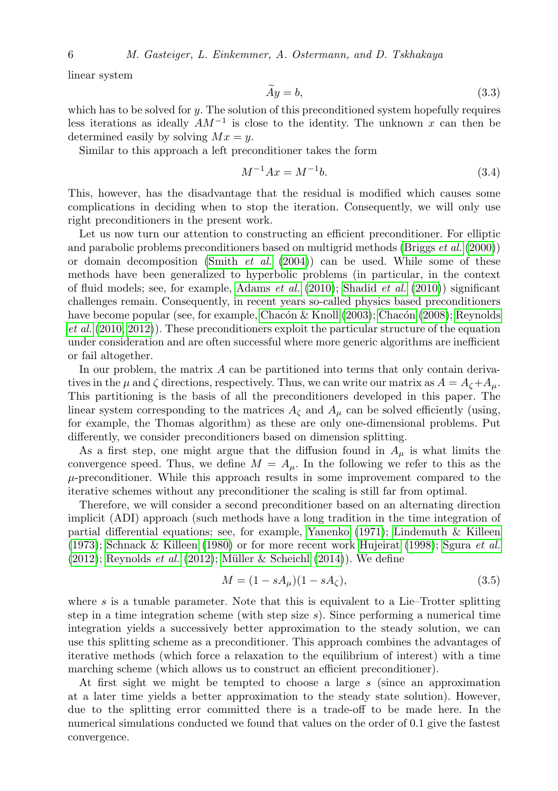linear system

$$
\widetilde{A}y = b,\tag{3.3}
$$

which has to be solved for  $y$ . The solution of this preconditioned system hopefully requires less iterations as ideally  $AM^{-1}$  is close to the identity. The unknown x can then be determined easily by solving  $Mx = y$ .

Similar to this approach a left preconditioner takes the form

$$
M^{-1}Ax = M^{-1}b.\t\t(3.4)
$$

This, however, has the disadvantage that the residual is modified which causes some complications in deciding when to stop the iteration. Consequently, we will only use right preconditioners in the present work.

Let us now turn our attention to constructing an efficient preconditioner. For elliptic and parabolic problems preconditioners based on multigrid methods [\(Briggs](#page-9-6) et al. [\(2000\)](#page-9-6)) or domain decomposition [\(Smith](#page-10-6) *et al.* [\(2004\)](#page-10-6)) can be used. While some of these methods have been generalized to hyperbolic problems (in particular, in the context of fluid models; see, for example, [Adams](#page-9-7) et al.  $(2010)$ ; [Shadid](#page-10-7) et al.  $(2010)$ ) significant challenges remain. Consequently, in recent years so-called physics based preconditioners have become popular (see, for example, Chacón  $\&$  Knoll [\(2003\)](#page-9-8); Chacón [\(2008\)](#page-9-9); [Reynolds](#page-10-8) *[et al.](#page-10-8)* [\(2010,](#page-10-8) [2012\)](#page-10-9)). These preconditioners exploit the particular structure of the equation under consideration and are often successful where more generic algorithms are inefficient or fail altogether.

In our problem, the matrix  $A$  can be partitioned into terms that only contain derivatives in the  $\mu$  and  $\zeta$  directions, respectively. Thus, we can write our matrix as  $A = A_{\zeta} + A_{\mu}$ . This partitioning is the basis of all the preconditioners developed in this paper. The linear system corresponding to the matrices  $A_{\zeta}$  and  $A_{\mu}$  can be solved efficiently (using, for example, the Thomas algorithm) as these are only one-dimensional problems. Put differently, we consider preconditioners based on dimension splitting.

As a first step, one might argue that the diffusion found in  $A_\mu$  is what limits the convergence speed. Thus, we define  $M = A_{\mu}$ . In the following we refer to this as the  $\mu$ -preconditioner. While this approach results in some improvement compared to the iterative schemes without any preconditioner the scaling is still far from optimal.

Therefore, we will consider a second preconditioner based on an alternating direction implicit (ADI) approach (such methods have a long tradition in the time integration of partial differential equations; see, for example, [Yanenko](#page-10-10) [\(1971\)](#page-10-10); [Lindemuth & Killeen](#page-9-10) [\(1973\)](#page-9-10); [Schnack & Killeen](#page-10-11) [\(1980\)](#page-10-11) or for more recent work [Hujeirat](#page-9-11) [\(1998\)](#page-9-11); [Sgura](#page-10-12) *et al.*  $(2012)$ ; [Reynolds](#page-10-9) *et al.*  $(2012)$ ; Müller & Scheichl  $(2014)$ ). We define

$$
M = (1 - sA_{\mu})(1 - sA_{\zeta}), \tag{3.5}
$$

where s is a tunable parameter. Note that this is equivalent to a Lie–Trotter splitting step in a time integration scheme (with step size  $s$ ). Since performing a numerical time integration yields a successively better approximation to the steady solution, we can use this splitting scheme as a preconditioner. This approach combines the advantages of iterative methods (which force a relaxation to the equilibrium of interest) with a time marching scheme (which allows us to construct an efficient preconditioner).

At first sight we might be tempted to choose a large s (since an approximation at a later time yields a better approximation to the steady state solution). However, due to the splitting error committed there is a trade-off to be made here. In the numerical simulations conducted we found that values on the order of 0.1 give the fastest convergence.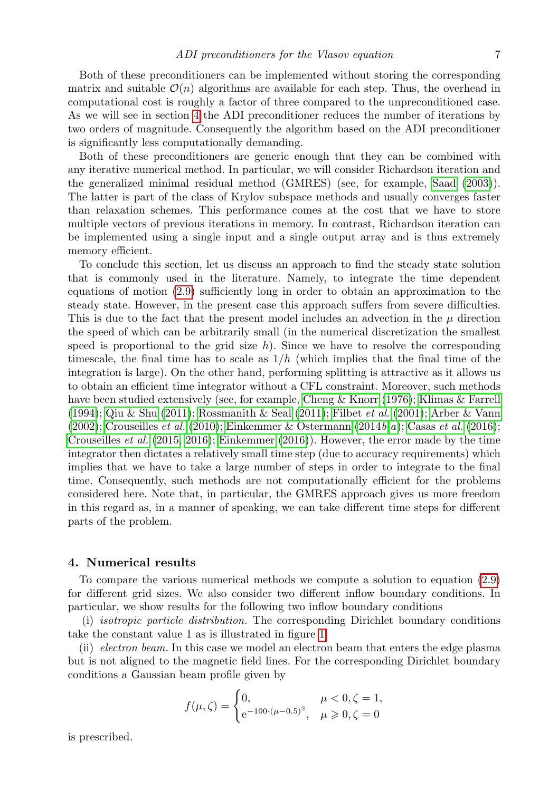Both of these preconditioners can be implemented without storing the corresponding matrix and suitable  $\mathcal{O}(n)$  algorithms are available for each step. Thus, the overhead in computational cost is roughly a factor of three compared to the unpreconditioned case. As we will see in section [4](#page-6-0) the ADI preconditioner reduces the number of iterations by two orders of magnitude. Consequently the algorithm based on the ADI preconditioner is significantly less computationally demanding.

Both of these preconditioners are generic enough that they can be combined with any iterative numerical method. In particular, we will consider Richardson iteration and the generalized minimal residual method (GMRES) (see, for example, [Saad](#page-10-3) [\(2003\)](#page-10-3)). The latter is part of the class of Krylov subspace methods and usually converges faster than relaxation schemes. This performance comes at the cost that we have to store multiple vectors of previous iterations in memory. In contrast, Richardson iteration can be implemented using a single input and a single output array and is thus extremely memory efficient.

To conclude this section, let us discuss an approach to find the steady state solution that is commonly used in the literature. Namely, to integrate the time dependent equations of motion [\(2.9\)](#page-2-2) sufficiently long in order to obtain an approximation to the steady state. However, in the present case this approach suffers from severe difficulties. This is due to the fact that the present model includes an advection in the  $\mu$  direction the speed of which can be arbitrarily small (in the numerical discretization the smallest speed is proportional to the grid size  $h$ ). Since we have to resolve the corresponding timescale, the final time has to scale as  $1/h$  (which implies that the final time of the integration is large). On the other hand, performing splitting is attractive as it allows us to obtain an efficient time integrator without a CFL constraint. Moreover, such methods have been studied extensively (see, for example, [Cheng & Knorr](#page-9-13) [\(1976\)](#page-9-13); [Klimas & Farrell](#page-9-14) [\(1994\)](#page-9-14); [Qiu & Shu](#page-10-13) [\(2011\)](#page-10-13); [Rossmanith & Seal](#page-10-14) [\(2011\)](#page-10-14); [Filbet](#page-9-15) et al. [\(2001\)](#page-9-15); [Arber & Vann](#page-9-16)  $(2002)$ ; [Crouseilles](#page-9-17) *et [a](#page-9-19)l.*  $(2010)$ ; [Einkemmer & Ostermann](#page-9-18)  $(2014b,a)$  $(2014b,a)$ ; [Casas](#page-9-20) *et al.*  $(2016)$ ; [Crouseilles](#page-9-21) et al. [\(2015,](#page-9-21) [2016\)](#page-9-22); [Einkemmer](#page-9-23) [\(2016\)](#page-9-23)). However, the error made by the time integrator then dictates a relatively small time step (due to accuracy requirements) which implies that we have to take a large number of steps in order to integrate to the final time. Consequently, such methods are not computationally efficient for the problems considered here. Note that, in particular, the GMRES approach gives us more freedom in this regard as, in a manner of speaking, we can take different time steps for different parts of the problem.

#### <span id="page-6-0"></span>4. Numerical results

To compare the various numerical methods we compute a solution to equation [\(2.9\)](#page-2-2) for different grid sizes. We also consider two different inflow boundary conditions. In particular, we show results for the following two inflow boundary conditions

(i) isotropic particle distribution. The corresponding Dirichlet boundary conditions take the constant value 1 as is illustrated in figure [1.](#page-4-0)

(ii) electron beam. In this case we model an electron beam that enters the edge plasma but is not aligned to the magnetic field lines. For the corresponding Dirichlet boundary conditions a Gaussian beam profile given by

$$
f(\mu,\zeta) = \begin{cases} 0, & \mu < 0, \zeta = 1, \\ e^{-100 \cdot (\mu - 0.5)^2}, & \mu \geq 0, \zeta = 0 \end{cases}
$$

is prescribed.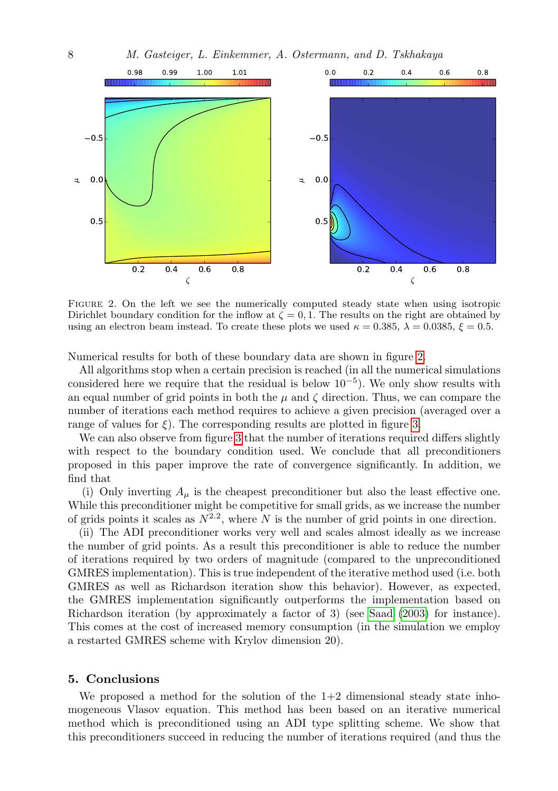

<span id="page-7-0"></span>Figure 2. On the left we see the numerically computed steady state when using isotropic Dirichlet boundary condition for the inflow at  $\zeta = 0, 1$ . The results on the right are obtained by using an electron beam instead. To create these plots we used  $\kappa = 0.385$ ,  $\lambda = 0.0385$ ,  $\xi = 0.5$ .

Numerical results for both of these boundary data are shown in figure [2.](#page-7-0)

All algorithms stop when a certain precision is reached (in all the numerical simulations considered here we require that the residual is below  $10^{-5}$ ). We only show results with an equal number of grid points in both the  $\mu$  and  $\zeta$  direction. Thus, we can compare the number of iterations each method requires to achieve a given precision (averaged over a range of values for  $\xi$ ). The corresponding results are plotted in figure [3.](#page-8-0)

We can also observe from figure [3](#page-8-0) that the number of iterations required differs slightly with respect to the boundary condition used. We conclude that all preconditioners proposed in this paper improve the rate of convergence significantly. In addition, we find that

(i) Only inverting  $A_{\mu}$  is the cheapest preconditioner but also the least effective one. While this preconditioner might be competitive for small grids, as we increase the number of grids points it scales as  $N^{2.2}$ , where N is the number of grid points in one direction.

(ii) The ADI preconditioner works very well and scales almost ideally as we increase the number of grid points. As a result this preconditioner is able to reduce the number of iterations required by two orders of magnitude (compared to the unpreconditioned GMRES implementation). This is true independent of the iterative method used (i.e. both GMRES as well as Richardson iteration show this behavior). However, as expected, the GMRES implementation significantly outperforms the implementation based on Richardson iteration (by approximately a factor of 3) (see [Saad](#page-10-3) [\(2003\)](#page-10-3) for instance). This comes at the cost of increased memory consumption (in the simulation we employ a restarted GMRES scheme with Krylov dimension 20).

#### 5. Conclusions

We proposed a method for the solution of the  $1+2$  dimensional steady state inhomogeneous Vlasov equation. This method has been based on an iterative numerical method which is preconditioned using an ADI type splitting scheme. We show that this preconditioners succeed in reducing the number of iterations required (and thus the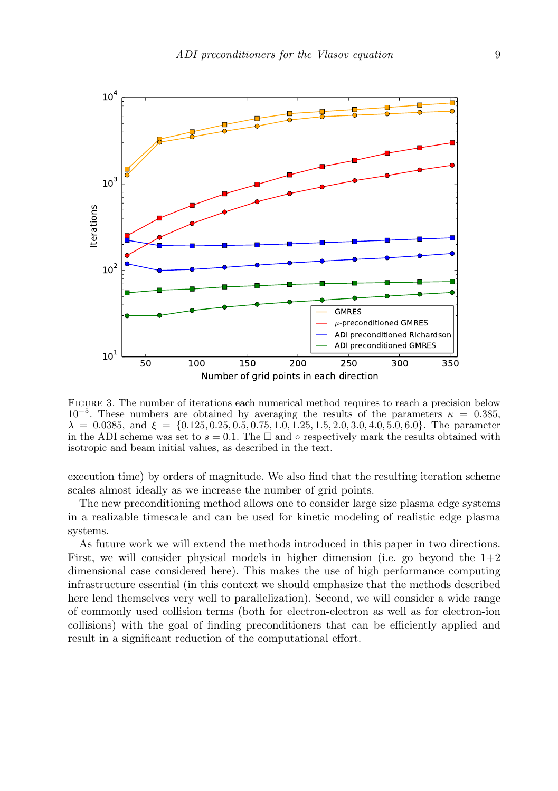

<span id="page-8-0"></span>Figure 3. The number of iterations each numerical method requires to reach a precision below  $10^{-5}$ . These numbers are obtained by averaging the results of the parameters  $\kappa = 0.385$ ,  $\lambda = 0.0385$ , and  $\xi = \{0.125, 0.25, 0.5, 0.75, 1.0, 1.25, 1.5, 2.0, 3.0, 4.0, 5.0, 6.0\}$ . The parameter in the ADI scheme was set to  $s = 0.1$ . The  $\Box$  and  $\circ$  respectively mark the results obtained with isotropic and beam initial values, as described in the text.

execution time) by orders of magnitude. We also find that the resulting iteration scheme scales almost ideally as we increase the number of grid points.

The new preconditioning method allows one to consider large size plasma edge systems in a realizable timescale and can be used for kinetic modeling of realistic edge plasma systems.

As future work we will extend the methods introduced in this paper in two directions. First, we will consider physical models in higher dimension (i.e. go beyond the  $1+2$ dimensional case considered here). This makes the use of high performance computing infrastructure essential (in this context we should emphasize that the methods described here lend themselves very well to parallelization). Second, we will consider a wide range of commonly used collision terms (both for electron-electron as well as for electron-ion collisions) with the goal of finding preconditioners that can be efficiently applied and result in a significant reduction of the computational effort.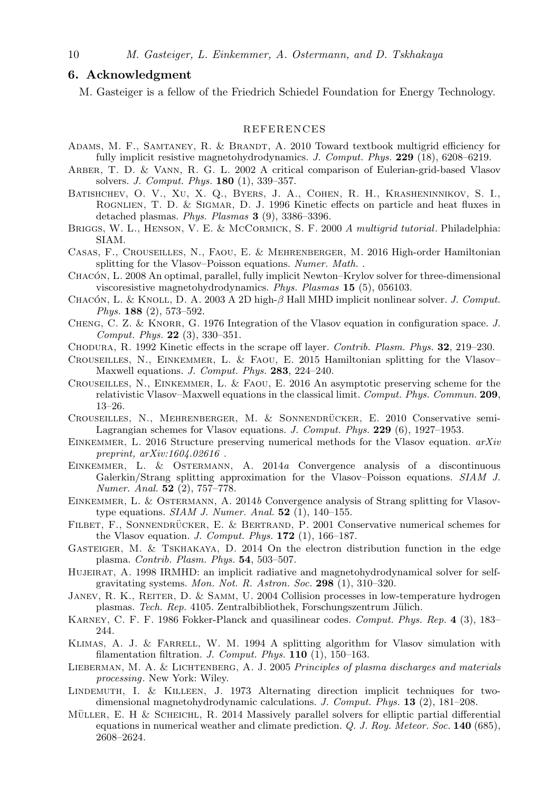### 6. Acknowledgment

M. Gasteiger is a fellow of the Friedrich Schiedel Foundation for Energy Technology.

#### REFERENCES

- <span id="page-9-7"></span>ADAMS, M. F., SAMTANEY, R. & BRANDT, A. 2010 Toward textbook multigrid efficiency for fully implicit resistive magnetohydrodynamics. J. Comput. Phys. 229 (18), 6208–6219.
- <span id="page-9-16"></span>Arber, T. D. & Vann, R. G. L. 2002 A critical comparison of Eulerian-grid-based Vlasov solvers. J. Comput. Phys. 180 (1), 339–357.
- <span id="page-9-1"></span>Batishchev, O. V., Xu, X. Q., Byers, J. A., Cohen, R. H., Krasheninnikov, S. I., ROGNLIEN, T. D. & SIGMAR, D. J. 1996 Kinetic effects on particle and heat fluxes in detached plasmas. Phys. Plasmas  $3$  (9), 3386-3396.
- <span id="page-9-6"></span>BRIGGS, W. L., HENSON, V. E. & MCCORMICK, S. F. 2000 A multigrid tutorial. Philadelphia: SIAM.
- <span id="page-9-20"></span>Casas, F., Crouseilles, N., Faou, E. & Mehrenberger, M. 2016 High-order Hamiltonian splitting for the Vlasov–Poisson equations. Numer. Math. .
- <span id="page-9-9"></span>CHACÓN, L. 2008 An optimal, parallel, fully implicit Newton–Krylov solver for three-dimensional viscoresistive magnetohydrodynamics.  $\tilde{Ph}ys$ . Plasmas 15 (5), 056103.
- <span id="page-9-8"></span>CHACÓN, L. & KNOLL, D. A. 2003 A 2D high- $\beta$  Hall MHD implicit nonlinear solver. J. Comput. Phys. 188 (2), 573–592.
- <span id="page-9-13"></span>CHENG, C. Z. & KNORR, G. 1976 Integration of the Vlasov equation in configuration space. J. Comput. Phys. 22 (3), 330–351.
- <span id="page-9-3"></span>CHODURA, R. 1992 Kinetic effects in the scrape off layer. Contrib. Plasm. Phys. 32, 219–230.
- <span id="page-9-21"></span>Crouseilles, N., Einkemmer, L. & Faou, E. 2015 Hamiltonian splitting for the Vlasov– Maxwell equations. J. Comput. Phys. 283, 224–240.
- <span id="page-9-22"></span>Crouseilles, N., Einkemmer, L. & Faou, E. 2016 An asymptotic preserving scheme for the relativistic Vlasov–Maxwell equations in the classical limit. Comput. Phys. Commun. 209, 13–26.
- <span id="page-9-17"></span>CROUSEILLES, N., MEHRENBERGER, M. & SONNENDRÜCKER, E. 2010 Conservative semi-Lagrangian schemes for Vlasov equations. J. Comput. Phys.  $229(6)$ , 1927–1953.
- <span id="page-9-23"></span>EINKEMMER, L. 2016 Structure preserving numerical methods for the Vlasov equation.  $arXiv$ preprint, arXiv:1604.02616 .
- <span id="page-9-19"></span>EINKEMMER, L. & OSTERMANN, A. 2014a Convergence analysis of a discontinuous Galerkin/Strang splitting approximation for the Vlasov–Poisson equations. SIAM J. Numer. Anal. **52** (2), 757-778.
- <span id="page-9-18"></span>EINKEMMER, L. & OSTERMANN, A. 2014b Convergence analysis of Strang splitting for Vlasovtype equations.  $SIAM$  J. Numer. Anal.  $52$  (1), 140–155.
- <span id="page-9-15"></span>FILBET, F., SONNENDRÜCKER, E. & BERTRAND, P. 2001 Conservative numerical schemes for the Vlasov equation. J. Comput. Phys.  $172$  (1), 166–187.
- <span id="page-9-2"></span>Gasteiger, M. & Tskhakaya, D. 2014 On the electron distribution function in the edge plasma. Contrib. Plasm. Phys. 54, 503–507.
- <span id="page-9-11"></span>HUJEIRAT, A. 1998 IRMHD: an implicit radiative and magnetohydrodynamical solver for selfgravitating systems. Mon. Not. R. Astron. Soc. 298 (1), 310–320.
- <span id="page-9-5"></span>JANEV, R. K., REITER, D. & SAMM, U. 2004 Collision processes in low-temperature hydrogen plasmas. Tech. Rep. 4105. Zentralbibliothek, Forschungszentrum Jülich.
- <span id="page-9-4"></span>Karney, C. F. F. 1986 Fokker-Planck and quasilinear codes. Comput. Phys. Rep. 4 (3), 183– 244.
- <span id="page-9-14"></span>Klimas, A. J. & Farrell, W. M. 1994 A splitting algorithm for Vlasov simulation with filamentation filtration. J. Comput. Phys.  $110$  (1), 150–163.
- <span id="page-9-0"></span>LIEBERMAN, M. A. & LICHTENBERG, A. J. 2005 Principles of plasma discharges and materials processing. New York: Wiley.
- <span id="page-9-10"></span>Lindemuth, I. & Killeen, J. 1973 Alternating direction implicit techniques for twodimensional magnetohydrodynamic calculations. J. Comput. Phys. 13 (2), 181–208.
- <span id="page-9-12"></span>MÜLLER, E. H & SCHEICHL, R. 2014 Massively parallel solvers for elliptic partial differential equations in numerical weather and climate prediction.  $Q.$  J. Roy. Meteor. Soc. 140 (685), 2608–2624.